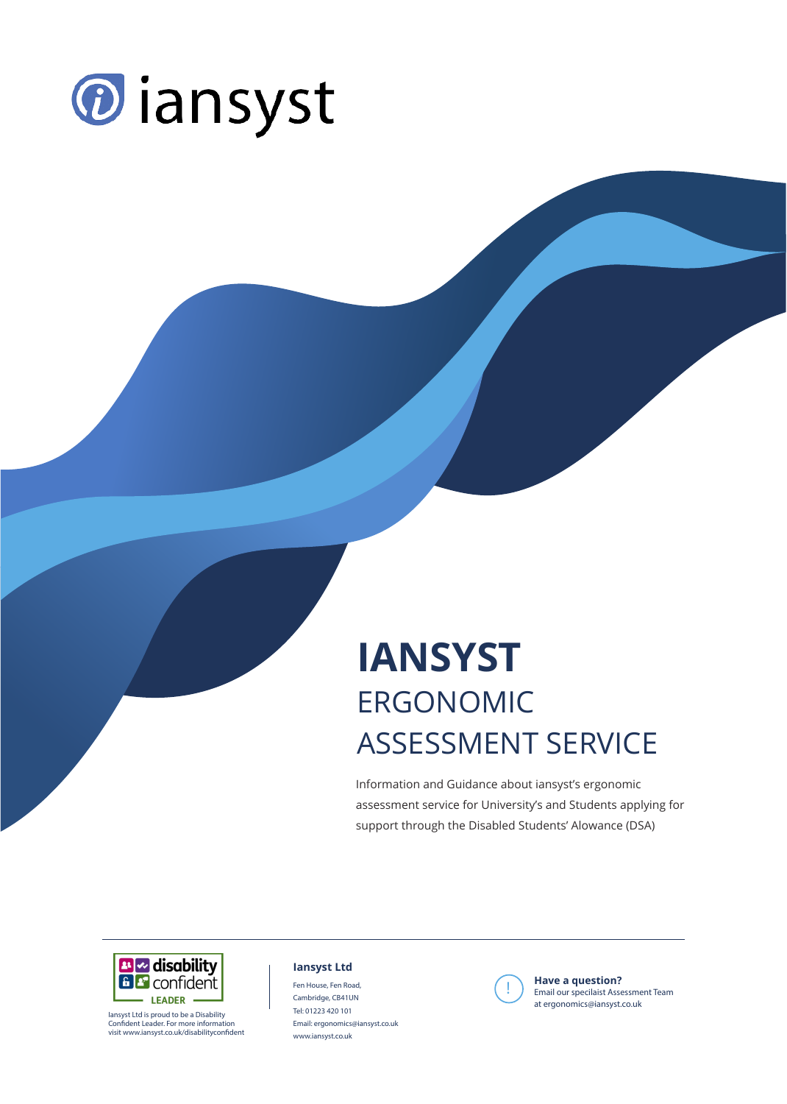

### **IANSYST** LINUUTIVIIL<br>ASSESSMENIT ERGONOMIC ASSESSMENT SERVICE

Information and Guidance about iansyst's ergonomic assessment service for University's and Students applying for support through the Disabled Students' Alowance (DSA)



Iansyst Ltd is proud to be a Disability Confident Leader. For more information visit www.iansyst.co.uk/disabilityconfident

#### **Iansyst Ltd**

Fen House, Fen Road, Cambridge, CB41UN Tel: 01223 420 101 Email: ergonomics@iansyst.co.uk www.iansyst.co.uk



**Example 3 and September 1998**<br>
Email our specilaist Assessment Team<br>
the more amised in public we do. **Have a question?** at ergonomics@iansyst.co.uk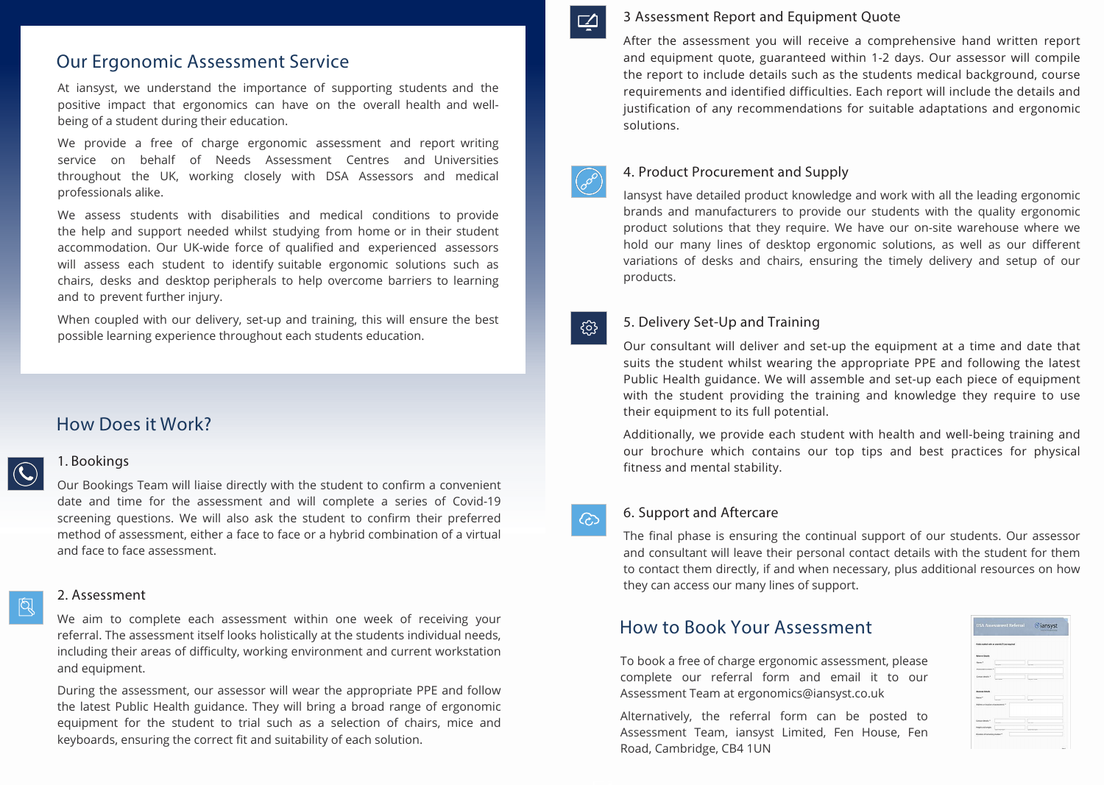#### 3 Assessment Report and Equipment Quote

After the assessment you will receive a comprehensive hand written report and equipment quote, guaranteed within 1-2 days. Our assessor will compile the report to include details such as the students medical background, course requirements and identified difficulties. Each report will include the details and justification of any recommendations for suitable adaptations and ergonomic solutions.



#### 4. Product Procurement and Supply

Iansyst have detailed product knowledge and work with all the leading ergonomic brands and manufacturers to provide our students with the quality ergonomic product solutions that they require. We have our on-site warehouse where we hold our many lines of desktop ergonomic solutions, as well as our different variations of desks and chairs, ensuring the timely delivery and setup of our products.

503

#### 5. Delivery Set-Up and Training

Our consultant will deliver and set-up the equipment at a time and date that suits the student whilst wearing the appropriate PPE and following the latest Public Health guidance. We will assemble and set-up each piece of equipment with the student providing the training and knowledge they require to use their equipment to its full potential.

Additionally, we provide each student with health and well-being training and our brochure which contains our top tips and best practices for physical fitness and mental stability.

65

#### 6. Support and Aftercare

The final phase is ensuring the continual support of our students. Our assessor and consultant will leave their personal contact details with the student for them to contact them directly, if and when necessary, plus additional resources on how they can access our many lines of support.

#### How to Book Your Assessment

To book a free of charge ergonomic assessment, please complete our referral form and email it to our Assessment Team at ergonomics@iansyst.co.uk

Alternatively, the referral form can be posted to Assessment Team, iansyst Limited, Fen House, Fen Road, Cambridge, CB4 1UN

|                                     | <b>DSA Assessment Referral</b>                  | <b><i>O</i></b> iansyst |
|-------------------------------------|-------------------------------------------------|-------------------------|
|                                     | Reids marked with an asterisk (*) are required. |                         |
| <b>Referrer Details</b>             |                                                 |                         |
| <b>Name:</b>                        | <b>STATE</b>                                    |                         |
| Assessment cardiac*                 |                                                 |                         |
| Contact details:*                   |                                                 |                         |
| <b>Australes Cotalic</b>            |                                                 |                         |
| Name: *                             |                                                 |                         |
| Address an lot alian of accessment. |                                                 |                         |
| Contact details!"                   | <b>COL</b>                                      |                         |
| Height and awight:                  |                                                 | <b>CHARLES</b>          |
| Duration of remaining studies: *    |                                                 |                         |

#### Our Ergonomic Assessment Service

At iansyst, we understand the importance of supporting students and the positive impact that ergonomics can have on the overall health and wellbeing of a student during their education.

We provide a free of charge ergonomic assessment and report writing service on behalf of Needs Assessment Centres and Universities throughout the UK, working closely with DSA Assessors and medical professionals alike.

We assess students with disabilities and medical conditions to provide the help and support needed whilst studying from home or in their student accommodation. Our UK-wide force of qualified and experienced assessors will assess each student to identify suitable ergonomic solutions such as chairs, desks and desktop peripherals to help overcome barriers to learning and to prevent further injury.

When coupled with our delivery, set-up and training, this will ensure the best possible learning experience throughout each students education.

#### How Does it Work?

## $| \bigodot$

#### 1. Bookings

Our Bookings Team will liaise directly with the student to confirm a convenient date and time for the assessment and will complete a series of Covid-19 screening questions. We will also ask the student to confirm their preferred method of assessment, either a face to face or a hybrid combination of a virtual and face to face assessment.

## 图

#### 2. Assessment

We aim to complete each assessment within one week of receiving your referral. The assessment itself looks holistically at the students individual needs, including their areas of difficulty, working environment and current workstation and equipment.

During the assessment, our assessor will wear the appropriate PPE and follow the latest Public Health guidance. They will bring a broad range of ergonomic equipment for the student to trial such as a selection of chairs, mice and keyboards, ensuring the correct fit and suitability of each solution.

 $\Box$